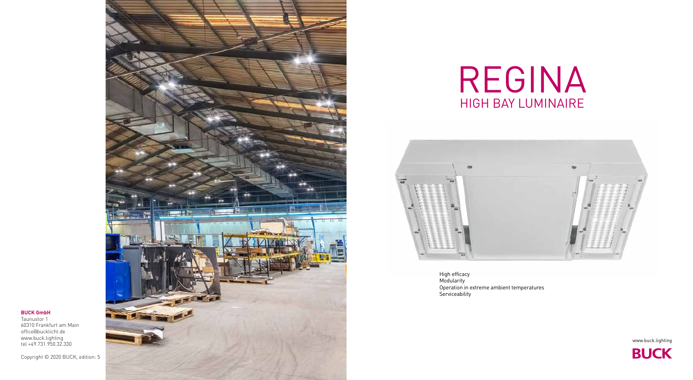

# REGINA HIGH BAY LUMINAIRE



High efficacy Modularity Operation in extreme ambient temperatures Serviceability





## **BUCK GmbH**

Taunustor 1 60310 Frankfurt am Main office@bucklicht.de www.buck.lighting tel +49.731.950.32.330

Copyright © 2020 BUCK, edition: 5

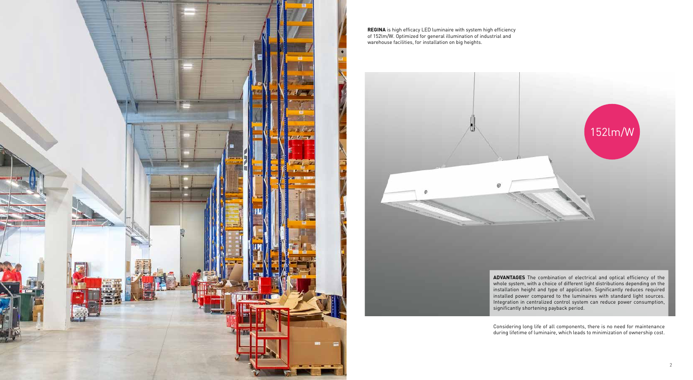

**REGINA** is high efficacy LED luminaire with system high efficiency of 152lm/W. Optimized for general illumination of industrial and warehouse facilities, for installation on big heights.



**ADVANTAGES** The combination of electrical and optical efficiency of the whole system, with a choice of different light distributions depending on the installation height and type of application. Significantly reduces required installed power compared to the luminaires with standard light sources. Integration in centralized control system can reduce power consumption, significantly shortening payback period.

Considering long life of all components, there is no need for maintenance during lifetime of luminaire, which leads to minimization of ownership cost.

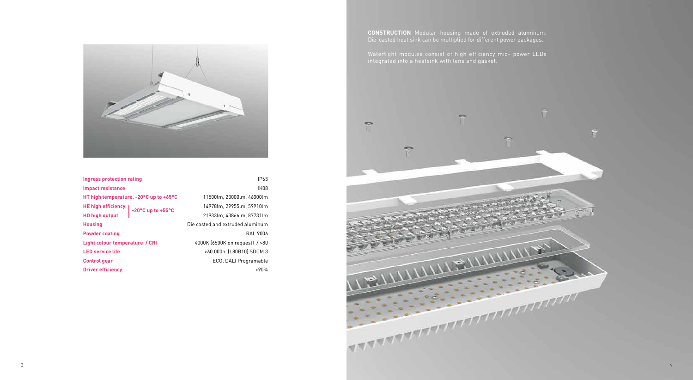

**CONSTRUCTION** Modular housing made of extruded aluminum. Die-casted heat sink can be multiplied for different power packages.

Watertight modules consist of high efficiency mid- power LEDs integrated into a heatsink with lens and gasket.



| Ingress protection rating              | IP65                             |
|----------------------------------------|----------------------------------|
| <b>Impact resistance</b>               | IK08                             |
| HT high temperature, -20°C up to +65°C | 11500lm, 23000lm, 46000lm        |
| HE high efficiency   -20°C up to +55°C | 14978lm, 29955lm, 59910lm        |
| <b>HO high output</b>                  | 21933lm. 43866lm. 87731lm        |
| <b>Housing</b>                         | Die casted and extruded aluminum |
| <b>Powder coating</b>                  | RAL 9006                         |
| Light colour temperature / CRI         | 4000K (6500K on request) / > 80  |
| <b>LED service life</b>                | >60.000h (L80B10) SDCM 3         |
| <b>Control gear</b>                    | ECG, DALI Programable            |
| <b>Driver efficiency</b>               | $>90\%$                          |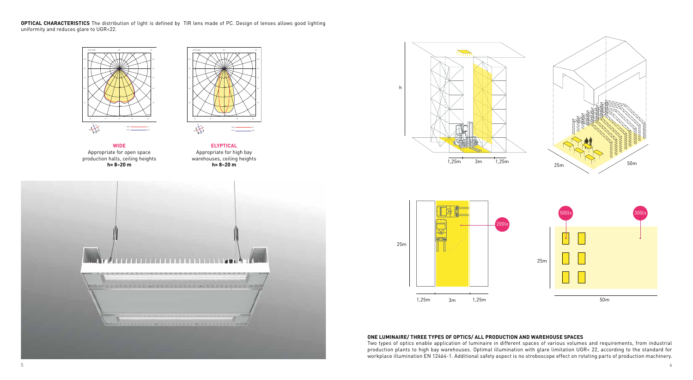**OPTICAL CHARACTERISTICS** The distribution of light is defined by TIR lens made of PC. Design of lenses allows good lighting uniformity and reduces glare to UGR<22.



**ELYPTICAL** Appropriate for high bay warehouses, ceiling heights **h= 8–20 m**





**WIDE**  Appropriate for open space production halls, ceiling heights **h= 8–20 m**







## ONE LUMINAIRE/ THREE TYPES OF OPTICS/ ALL PRODUCTION AND WAREHOUSE SPACES

one cominaincy trince titres or ortics/ acc rhoboction and wanehouse sraces<br>Two types of optics enable application of luminaire in different spaces of various volumes and requirements, from industrial Two types of optics enable application of tuminaire in ufflerent spaces of various volumes and requirements, from industrial<br>production plants to high bay warehouses. Optimal illumination with glare limitation UGR< 22, acc .<br>workplace illumination EN 12464-1. Additional safety aspect is no stroboscope effect on rotating parts of production machinery. oduction plants to high bay warehouses. Optimal illumination with glare limitation UGR< 22, according to the standard for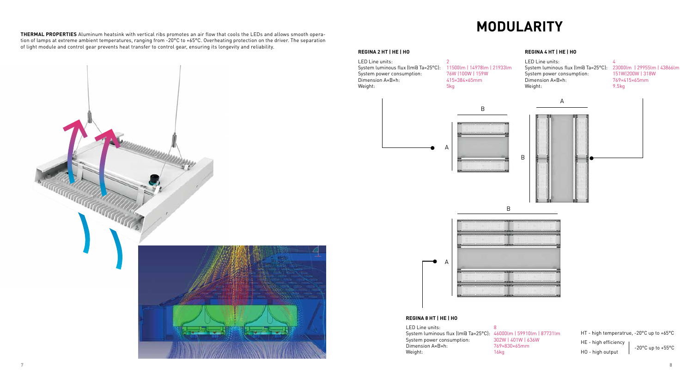**THERMAL PROPERTIES** Aluminum heatsink with vertical ribs promotes an air flow that cools the LEDs and allows smooth operation of lamps at extreme ambient temperatures, ranging from -20°C to +65°C. Overheating protection on the driver. The separation of light module and control gear prevents heat transfer to control gear, ensuring its longevity and reliability.

- LED Line units: 2 System luminous flux (lm@ Ta=25°C): 11500lm | 14978lm | 21933lm System power consumption: 76W | 100W | 159W Dimension A×B×h: 415×384×65mm Weight: 5kg
	-

LED Line units: 4 System luminous flux (lm@ Ta=25°C): 23000lm | 29955lm | 43866lm System power consumption: 151W|200W | 318W Dimension A×B×h: 769×415×65mm<br>Weight: 9.5kg Weight:









## **REGINA 2 HT | HE | HO**

## **REGINA 4 HT | HE | HO**

## **REGINA 8 HT | HE | HO**

LED Line units: 8 System luminous flux (lm@ Ta=25°C): 46000lm | 59910lm | 87731lm System power consumption: 302W | 401W | 636W Dimension A×B×h: 769×830×65mm Weight: 16kg



HT - high temperatrue, -20°C up to +65°C HE - high efficiency HO - high output -20°C up to +55°C

## **MODULARITY**